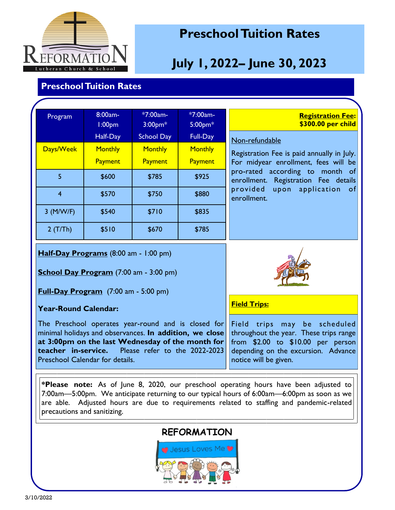

## **Preschool Tuition Rates**

# **July 1, 2022– June 30, 2023**

#### **Preschool Tuition Rates**

| Program     | 8:00am-<br>1:00 <sub>pm</sub> | *7:00am-<br>$3:00$ pm $*$ | *7:00am-<br>$5:00$ pm $*$ | <b>Registration Fee:</b><br>\$300.00 per child                                     |  |  |
|-------------|-------------------------------|---------------------------|---------------------------|------------------------------------------------------------------------------------|--|--|
|             | Half-Day                      | <b>School Day</b>         | Full-Day                  | Non-refundable                                                                     |  |  |
| Days/Week   | <b>Monthly</b>                | <b>Monthly</b>            | <b>Monthly</b>            | Registration Fee is paid annually in July.<br>For midyear enrollment, fees will be |  |  |
|             | Payment                       | Payment                   | Payment                   |                                                                                    |  |  |
| 5           | \$600                         | \$785                     | \$925                     | pro-rated according to month of<br>Registration Fee details<br>enrollment.         |  |  |
| 4           | \$570                         | \$750                     | \$880                     | provided upon application of<br>enrollment.                                        |  |  |
| $3$ (M/W/F) | \$540                         | \$710                     | \$835                     |                                                                                    |  |  |
| 2(T/Th)     | \$510                         | \$670                     | \$785                     |                                                                                    |  |  |

**Half-Day Programs** (8:00 am - 1:00 pm)

**School Day Program** (7:00 am - 3:00 pm)

**Full-Day Program** (7:00 am - 5:00 pm)

#### **Year-Round Calendar:**

The Preschool operates year-round and is closed for minimal holidays and observances. **In addition, we close at 3:00pm on the last Wednesday of the month for teacher in-service.** Please refer to the 2022-2023 Preschool Calendar for details.



**Field Trips:**

Field trips may be scheduled throughout the year. These trips range from \$2.00 to \$10.00 per person depending on the excursion. Advance notice will be given.

**\*Please note:** As of June 8, 2020, our preschool operating hours have been adjusted to 7:00am—5:00pm. We anticipate returning to our typical hours of 6:00am—6:00pm as soon as we are able. Adjusted hours are due to requirements related to staffing and pandemic-related precautions and sanitizing.